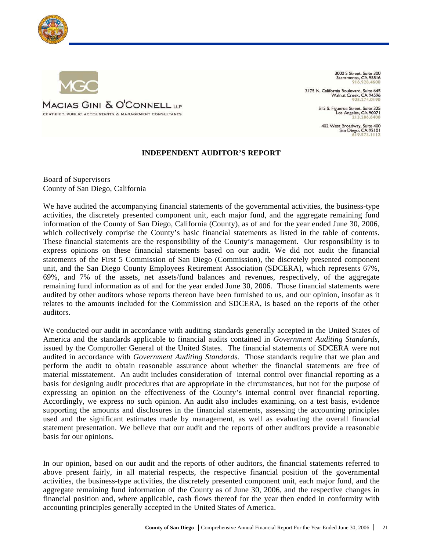



3000 S Street, Suite 300<br>Sacramento, CA 95816 91697846

2175 N. California Boulevard, Suite 645 Walnut Creek, CA 94596 925.274.0190

515 S. Figueroa Street, Suite 325<br>Los Angeles, CA 90071

402 West Broadway, Suite 400<br>San Diego, CA 92101  $9.573.11$ 

## **INDEPENDENT AUDITOR'S REPORT**

Board of Supervisors County of San Diego, California

MACIAS GINI & O'CONNELL LLP

CERTIFIED PUBLIC ACCOUNTANTS & MANAGEMENT CONSULTANTS

We have audited the accompanying financial statements of the governmental activities, the business-type activities, the discretely presented component unit, each major fund, and the aggregate remaining fund information of the County of San Diego, California (County), as of and for the year ended June 30, 2006, which collectively comprise the County's basic financial statements as listed in the table of contents. These financial statements are the responsibility of the County's management. Our responsibility is to express opinions on these financial statements based on our audit. We did not audit the financial statements of the First 5 Commission of San Diego (Commission), the discretely presented component unit, and the San Diego County Employees Retirement Association (SDCERA), which represents 67%, 69%, and 7% of the assets, net assets/fund balances and revenues, respectively, of the aggregate remaining fund information as of and for the year ended June 30, 2006. Those financial statements were audited by other auditors whose reports thereon have been furnished to us, and our opinion, insofar as it relates to the amounts included for the Commission and SDCERA, is based on the reports of the other auditors.

We conducted our audit in accordance with auditing standards generally accepted in the United States of America and the standards applicable to financial audits contained in *Government Auditing Standards*, issued by the Comptroller General of the United States. The financial statements of SDCERA were not audited in accordance with *Government Auditing Standards.* Those standards require that we plan and perform the audit to obtain reasonable assurance about whether the financial statements are free of material misstatement. An audit includes consideration of internal control over financial reporting as a basis for designing audit procedures that are appropriate in the circumstances, but not for the purpose of expressing an opinion on the effectiveness of the County's internal control over financial reporting. Accordingly, we express no such opinion. An audit also includes examining, on a test basis, evidence supporting the amounts and disclosures in the financial statements, assessing the accounting principles used and the significant estimates made by management, as well as evaluating the overall financial statement presentation. We believe that our audit and the reports of other auditors provide a reasonable basis for our opinions.

In our opinion, based on our audit and the reports of other auditors, the financial statements referred to above present fairly, in all material respects, the respective financial position of the governmental activities, the business-type activities, the discretely presented component unit, each major fund, and the aggregate remaining fund information of the County as of June 30, 2006, and the respective changes in financial position and, where applicable, cash flows thereof for the year then ended in conformity with accounting principles generally accepted in the United States of America.